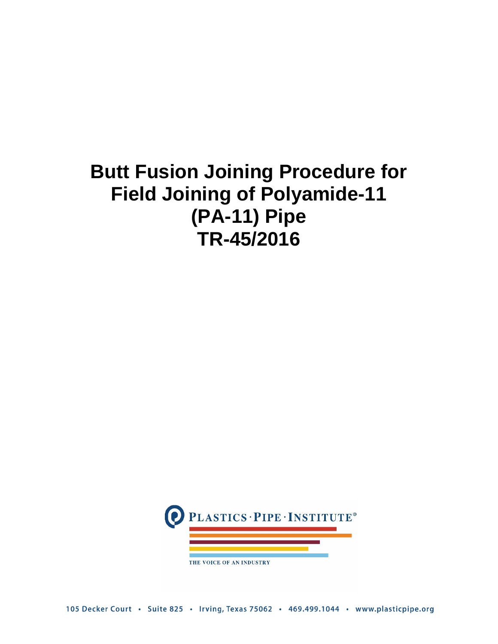# **Butt Fusion Joining Procedure for Field Joining of Polyamide-11 (PA-11) Pipe TR-45/2016**



THE VOICE OF AN INDUSTRY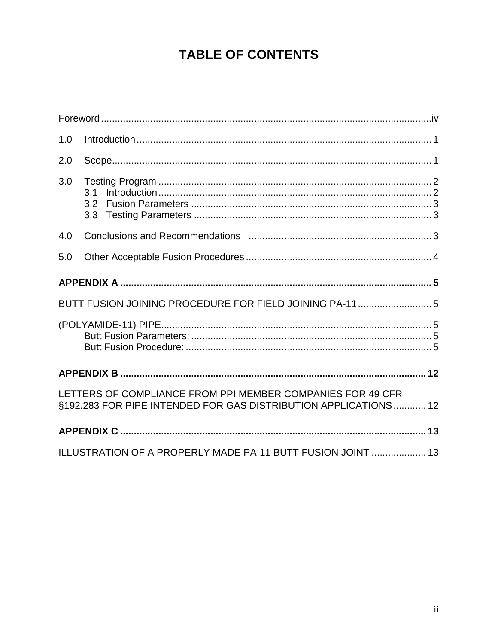# **TABLE OF CONTENTS**

| 1.0 |                                                                                                                               |  |  |  |
|-----|-------------------------------------------------------------------------------------------------------------------------------|--|--|--|
| 2.0 |                                                                                                                               |  |  |  |
| 3.0 | 3.1<br>3.2<br>3.3 <sub>2</sub>                                                                                                |  |  |  |
| 4.0 |                                                                                                                               |  |  |  |
| 5.0 |                                                                                                                               |  |  |  |
|     |                                                                                                                               |  |  |  |
|     | BUTT FUSION JOINING PROCEDURE FOR FIELD JOINING PA-11  5                                                                      |  |  |  |
|     |                                                                                                                               |  |  |  |
|     |                                                                                                                               |  |  |  |
|     | LETTERS OF COMPLIANCE FROM PPI MEMBER COMPANIES FOR 49 CFR<br>§192.283 FOR PIPE INTENDED FOR GAS DISTRIBUTION APPLICATIONS 12 |  |  |  |
|     |                                                                                                                               |  |  |  |
|     | ILLUSTRATION OF A PROPERLY MADE PA-11 BUTT FUSION JOINT  13                                                                   |  |  |  |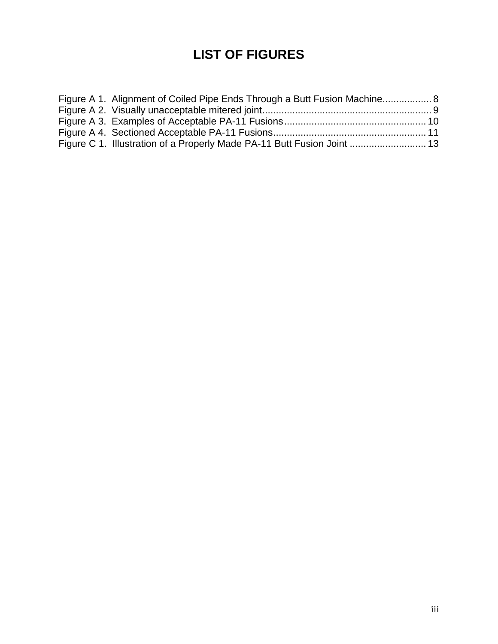# **LIST OF FIGURES**

| Figure A 1. Alignment of Coiled Pipe Ends Through a Butt Fusion Machine 8 |  |
|---------------------------------------------------------------------------|--|
|                                                                           |  |
|                                                                           |  |
|                                                                           |  |
| Figure C 1. Illustration of a Properly Made PA-11 Butt Fusion Joint  13   |  |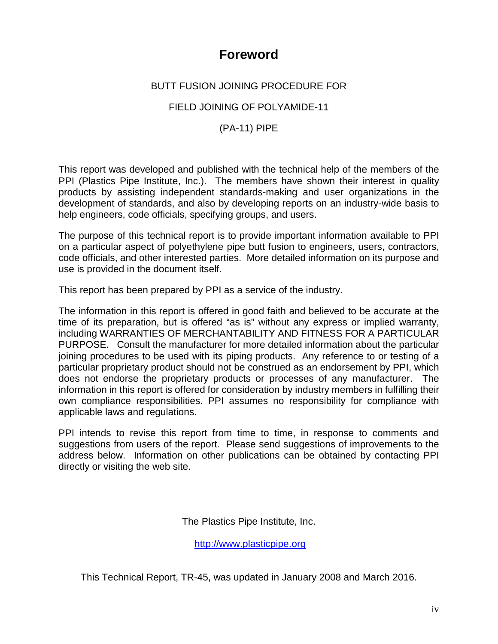### **Foreword**

#### <span id="page-3-0"></span>BUTT FUSION JOINING PROCEDURE FOR

#### FIELD JOINING OF POLYAMIDE-11

#### (PA-11) PIPE

This report was developed and published with the technical help of the members of the PPI (Plastics Pipe Institute, Inc.). The members have shown their interest in quality products by assisting independent standards-making and user organizations in the development of standards, and also by developing reports on an industry-wide basis to help engineers, code officials, specifying groups, and users.

The purpose of this technical report is to provide important information available to PPI on a particular aspect of polyethylene pipe butt fusion to engineers, users, contractors, code officials, and other interested parties. More detailed information on its purpose and use is provided in the document itself.

This report has been prepared by PPI as a service of the industry.

The information in this report is offered in good faith and believed to be accurate at the time of its preparation, but is offered "as is" without any express or implied warranty, including WARRANTIES OF MERCHANTABILITY AND FITNESS FOR A PARTICULAR PURPOSE. Consult the manufacturer for more detailed information about the particular joining procedures to be used with its piping products. Any reference to or testing of a particular proprietary product should not be construed as an endorsement by PPI, which does not endorse the proprietary products or processes of any manufacturer. The information in this report is offered for consideration by industry members in fulfilling their own compliance responsibilities. PPI assumes no responsibility for compliance with applicable laws and regulations.

PPI intends to revise this report from time to time, in response to comments and suggestions from users of the report. Please send suggestions of improvements to the address below. Information on other publications can be obtained by contacting PPI directly or visiting the web site.

The Plastics Pipe Institute, Inc.

[http://www.plasticpipe.org](http://www.plasticpipe.org/)

This Technical Report, TR-45, was updated in January 2008 and March 2016.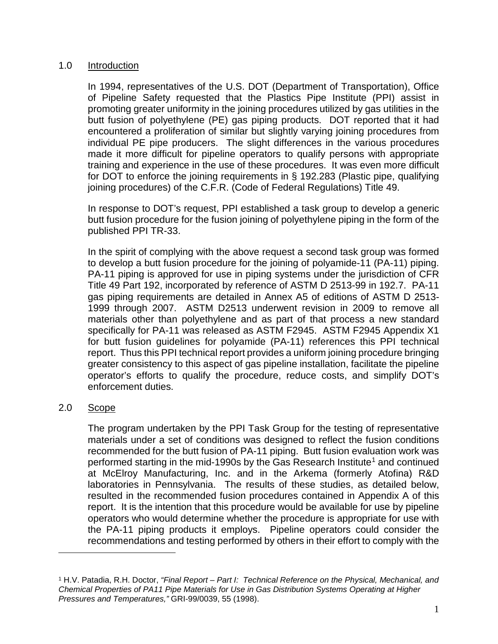#### <span id="page-4-0"></span>1.0 Introduction

In 1994, representatives of the U.S. DOT (Department of Transportation), Office of Pipeline Safety requested that the Plastics Pipe Institute (PPI) assist in promoting greater uniformity in the joining procedures utilized by gas utilities in the butt fusion of polyethylene (PE) gas piping products. DOT reported that it had encountered a proliferation of similar but slightly varying joining procedures from individual PE pipe producers. The slight differences in the various procedures made it more difficult for pipeline operators to qualify persons with appropriate training and experience in the use of these procedures. It was even more difficult for DOT to enforce the joining requirements in § 192.283 (Plastic pipe, qualifying joining procedures) of the C.F.R. (Code of Federal Regulations) Title 49.

In response to DOT's request, PPI established a task group to develop a generic butt fusion procedure for the fusion joining of polyethylene piping in the form of the published PPI TR-33.

In the spirit of complying with the above request a second task group was formed to develop a butt fusion procedure for the joining of polyamide-11 (PA-11) piping. PA-11 piping is approved for use in piping systems under the jurisdiction of CFR Title 49 Part 192, incorporated by reference of ASTM D 2513-99 in 192.7. PA-11 gas piping requirements are detailed in Annex A5 of editions of ASTM D 2513- 1999 through 2007. ASTM D2513 underwent revision in 2009 to remove all materials other than polyethylene and as part of that process a new standard specifically for PA-11 was released as ASTM F2945. ASTM F2945 Appendix X1 for butt fusion guidelines for polyamide (PA-11) references this PPI technical report. Thus this PPI technical report provides a uniform joining procedure bringing greater consistency to this aspect of gas pipeline installation, facilitate the pipeline operator's efforts to qualify the procedure, reduce costs, and simplify DOT's enforcement duties.

#### <span id="page-4-1"></span>2.0 Scope

 $\overline{a}$ 

The program undertaken by the PPI Task Group for the testing of representative materials under a set of conditions was designed to reflect the fusion conditions recommended for the butt fusion of PA-11 piping. Butt fusion evaluation work was performed starting in the mid-[1](#page-4-2)990s by the Gas Research Institute<sup>1</sup> and continued at McElroy Manufacturing, Inc. and in the Arkema (formerly Atofina) R&D laboratories in Pennsylvania. The results of these studies, as detailed below, resulted in the recommended fusion procedures contained in Appendix A of this report. It is the intention that this procedure would be available for use by pipeline operators who would determine whether the procedure is appropriate for use with the PA-11 piping products it employs. Pipeline operators could consider the recommendations and testing performed by others in their effort to comply with the

<span id="page-4-2"></span><sup>1</sup> H.V. Patadia, R.H. Doctor, *"Final Report – Part I: Technical Reference on the Physical, Mechanical, and Chemical Properties of PA11 Pipe Materials for Use in Gas Distribution Systems Operating at Higher Pressures and Temperatures,"* GRI-99/0039, 55 (1998).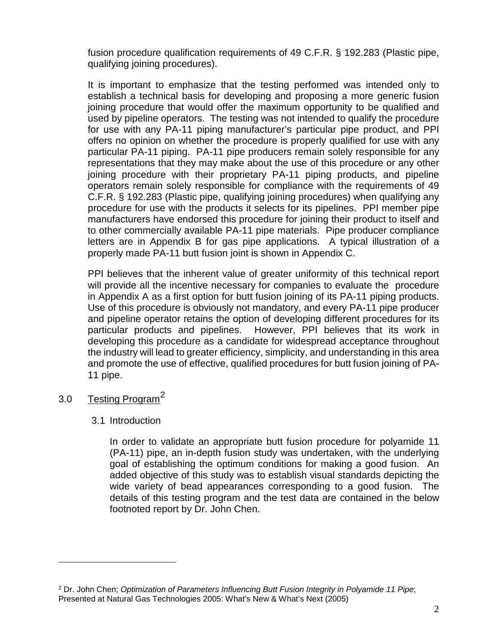fusion procedure qualification requirements of 49 C.F.R. § 192.283 (Plastic pipe, qualifying joining procedures).

It is important to emphasize that the testing performed was intended only to establish a technical basis for developing and proposing a more generic fusion joining procedure that would offer the maximum opportunity to be qualified and used by pipeline operators. The testing was not intended to qualify the procedure for use with any PA-11 piping manufacturer's particular pipe product, and PPI offers no opinion on whether the procedure is properly qualified for use with any particular PA-11 piping. PA-11 pipe producers remain solely responsible for any representations that they may make about the use of this procedure or any other joining procedure with their proprietary PA-11 piping products, and pipeline operators remain solely responsible for compliance with the requirements of 49 C.F.R. § 192.283 (Plastic pipe, qualifying joining procedures) when qualifying any procedure for use with the products it selects for its pipelines. PPI member pipe manufacturers have endorsed this procedure for joining their product to itself and to other commercially available PA-11 pipe materials. Pipe producer compliance letters are in Appendix B for gas pipe applications. A typical illustration of a properly made PA-11 butt fusion joint is shown in Appendix C.

PPI believes that the inherent value of greater uniformity of this technical report will provide all the incentive necessary for companies to evaluate the procedure in Appendix A as a first option for butt fusion joining of its PA-11 piping products. Use of this procedure is obviously not mandatory, and every PA-11 pipe producer and pipeline operator retains the option of developing different procedures for its particular products and pipelines. However, PPI believes that its work in developing this procedure as a candidate for widespread acceptance throughout the industry will lead to greater efficiency, simplicity, and understanding in this area and promote the use of effective, qualified procedures for butt fusion joining of PA-11 pipe.

#### <span id="page-5-1"></span><span id="page-5-0"></span>3.0 Testing Program<sup>[2](#page-5-2)</sup>

 $\overline{a}$ 

#### 3.1 Introduction

In order to validate an appropriate butt fusion procedure for polyamide 11 (PA-11) pipe, an in-depth fusion study was undertaken, with the underlying goal of establishing the optimum conditions for making a good fusion. An added objective of this study was to establish visual standards depicting the wide variety of bead appearances corresponding to a good fusion. The details of this testing program and the test data are contained in the below footnoted report by Dr. John Chen.

<span id="page-5-2"></span><sup>2</sup> Dr. John Chen; *Optimization of Parameters Influencing Butt Fusion Integrity in Polyamide 11 Pipe*; Presented at Natural Gas Technologies 2005: What's New & What's Next (2005)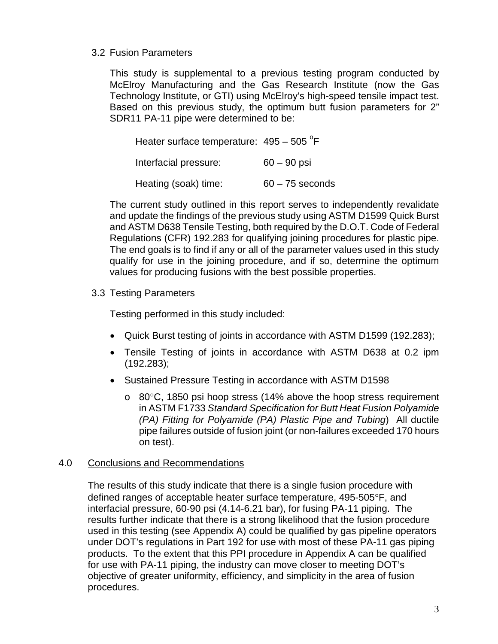#### <span id="page-6-0"></span>3.2 Fusion Parameters

This study is supplemental to a previous testing program conducted by McElroy Manufacturing and the Gas Research Institute (now the Gas Technology Institute, or GTI) using McElroy's high-speed tensile impact test. Based on this previous study, the optimum butt fusion parameters for 2" SDR11 PA-11 pipe were determined to be:

| Heater surface temperature: $495 - 505$ <sup>°</sup> F |                   |
|--------------------------------------------------------|-------------------|
| Interfacial pressure:                                  | $60 - 90$ psi     |
| Heating (soak) time:                                   | $60 - 75$ seconds |

The current study outlined in this report serves to independently revalidate and update the findings of the previous study using ASTM D1599 Quick Burst and ASTM D638 Tensile Testing, both required by the D.O.T. Code of Federal Regulations (CFR) 192.283 for qualifying joining procedures for plastic pipe. The end goals is to find if any or all of the parameter values used in this study qualify for use in the joining procedure, and if so, determine the optimum values for producing fusions with the best possible properties.

<span id="page-6-1"></span>3.3 Testing Parameters

Testing performed in this study included:

- Quick Burst testing of joints in accordance with ASTM D1599 (192.283);
- Tensile Testing of joints in accordance with ASTM D638 at 0.2 ipm (192.283);
- Sustained Pressure Testing in accordance with ASTM D1598
	- $\circ$  80 $\degree$ C, 1850 psi hoop stress (14% above the hoop stress requirement in ASTM F1733 *Standard Specification for Butt Heat Fusion Polyamide (PA) Fitting for Polyamide (PA) Plastic Pipe and Tubing*) All ductile pipe failures outside of fusion joint (or non-failures exceeded 170 hours on test).

#### <span id="page-6-2"></span>4.0 Conclusions and Recommendations

The results of this study indicate that there is a single fusion procedure with defined ranges of acceptable heater surface temperature, 495-505°F, and interfacial pressure, 60-90 psi (4.14-6.21 bar), for fusing PA-11 piping. The results further indicate that there is a strong likelihood that the fusion procedure used in this testing (see Appendix A) could be qualified by gas pipeline operators under DOT's regulations in Part 192 for use with most of these PA-11 gas piping products. To the extent that this PPI procedure in Appendix A can be qualified for use with PA-11 piping, the industry can move closer to meeting DOT's objective of greater uniformity, efficiency, and simplicity in the area of fusion procedures.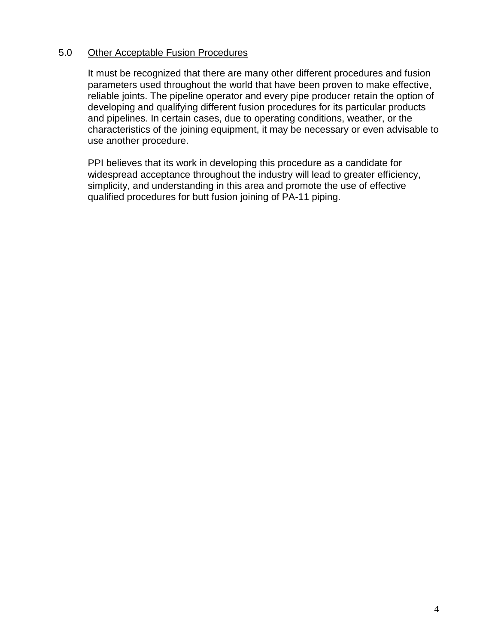#### <span id="page-7-0"></span>5.0 Other Acceptable Fusion Procedures

It must be recognized that there are many other different procedures and fusion parameters used throughout the world that have been proven to make effective, reliable joints. The pipeline operator and every pipe producer retain the option of developing and qualifying different fusion procedures for its particular products and pipelines. In certain cases, due to operating conditions, weather, or the characteristics of the joining equipment, it may be necessary or even advisable to use another procedure.

PPI believes that its work in developing this procedure as a candidate for widespread acceptance throughout the industry will lead to greater efficiency, simplicity, and understanding in this area and promote the use of effective qualified procedures for butt fusion joining of PA-11 piping.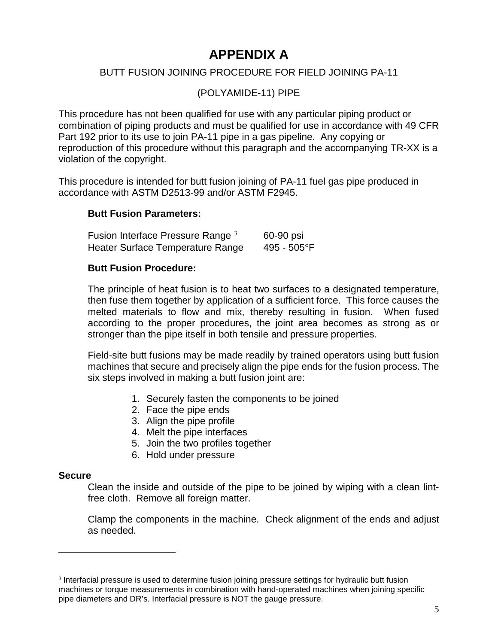# **APPENDIX A**

#### <span id="page-8-1"></span><span id="page-8-0"></span>BUTT FUSION JOINING PROCEDURE FOR FIELD JOINING PA-11

(POLYAMIDE-11) PIPE

<span id="page-8-2"></span>This procedure has not been qualified for use with any particular piping product or combination of piping products and must be qualified for use in accordance with 49 CFR Part 192 prior to its use to join PA-11 pipe in a gas pipeline. Any copying or reproduction of this procedure without this paragraph and the accompanying TR-XX is a violation of the copyright.

This procedure is intended for butt fusion joining of PA-11 fuel gas pipe produced in accordance with ASTM D2513-99 and/or ASTM F2945.

#### <span id="page-8-3"></span>**Butt Fusion Parameters:**

Fusion Interface Pressure Range  $3 \times 60-90$  $3 \times 60-90$  psi Heater Surface Temperature Range 495 - 505°F

#### <span id="page-8-4"></span>**Butt Fusion Procedure:**

The principle of heat fusion is to heat two surfaces to a designated temperature, then fuse them together by application of a sufficient force. This force causes the melted materials to flow and mix, thereby resulting in fusion. When fused according to the proper procedures, the joint area becomes as strong as or stronger than the pipe itself in both tensile and pressure properties.

Field-site butt fusions may be made readily by trained operators using butt fusion machines that secure and precisely align the pipe ends for the fusion process. The six steps involved in making a butt fusion joint are:

- 1. Securely fasten the components to be joined
- 2. Face the pipe ends
- 3. Align the pipe profile
- 4. Melt the pipe interfaces
- 5. Join the two profiles together
- 6. Hold under pressure

#### **Secure**

 $\overline{a}$ 

Clean the inside and outside of the pipe to be joined by wiping with a clean lintfree cloth. Remove all foreign matter.

Clamp the components in the machine. Check alignment of the ends and adjust as needed.

<span id="page-8-5"></span><sup>3</sup> Interfacial pressure is used to determine fusion joining pressure settings for hydraulic butt fusion machines or torque measurements in combination with hand-operated machines when joining specific pipe diameters and DR's. Interfacial pressure is NOT the gauge pressure.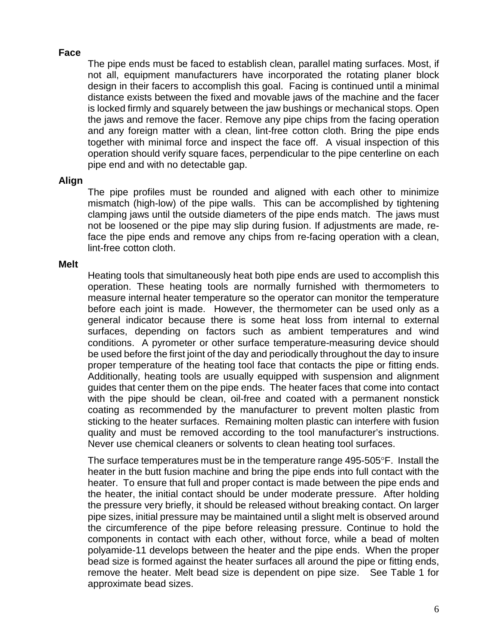#### **Face**

The pipe ends must be faced to establish clean, parallel mating surfaces. Most, if not all, equipment manufacturers have incorporated the rotating planer block design in their facers to accomplish this goal. Facing is continued until a minimal distance exists between the fixed and movable jaws of the machine and the facer is locked firmly and squarely between the jaw bushings or mechanical stops. Open the jaws and remove the facer. Remove any pipe chips from the facing operation and any foreign matter with a clean, lint-free cotton cloth. Bring the pipe ends together with minimal force and inspect the face off. A visual inspection of this operation should verify square faces, perpendicular to the pipe centerline on each pipe end and with no detectable gap.

#### **Align**

The pipe profiles must be rounded and aligned with each other to minimize mismatch (high-low) of the pipe walls. This can be accomplished by tightening clamping jaws until the outside diameters of the pipe ends match. The jaws must not be loosened or the pipe may slip during fusion. If adjustments are made, reface the pipe ends and remove any chips from re-facing operation with a clean, lint-free cotton cloth.

#### **Melt**

Heating tools that simultaneously heat both pipe ends are used to accomplish this operation. These heating tools are normally furnished with thermometers to measure internal heater temperature so the operator can monitor the temperature before each joint is made. However, the thermometer can be used only as a general indicator because there is some heat loss from internal to external surfaces, depending on factors such as ambient temperatures and wind conditions. A pyrometer or other surface temperature-measuring device should be used before the first joint of the day and periodically throughout the day to insure proper temperature of the heating tool face that contacts the pipe or fitting ends. Additionally, heating tools are usually equipped with suspension and alignment guides that center them on the pipe ends. The heater faces that come into contact with the pipe should be clean, oil-free and coated with a permanent nonstick coating as recommended by the manufacturer to prevent molten plastic from sticking to the heater surfaces. Remaining molten plastic can interfere with fusion quality and must be removed according to the tool manufacturer's instructions. Never use chemical cleaners or solvents to clean heating tool surfaces.

The surface temperatures must be in the temperature range 495-505°F. Install the heater in the butt fusion machine and bring the pipe ends into full contact with the heater. To ensure that full and proper contact is made between the pipe ends and the heater, the initial contact should be under moderate pressure. After holding the pressure very briefly, it should be released without breaking contact. On larger pipe sizes, initial pressure may be maintained until a slight melt is observed around the circumference of the pipe before releasing pressure. Continue to hold the components in contact with each other, without force, while a bead of molten polyamide-11 develops between the heater and the pipe ends. When the proper bead size is formed against the heater surfaces all around the pipe or fitting ends, remove the heater. Melt bead size is dependent on pipe size. See Table 1 for approximate bead sizes.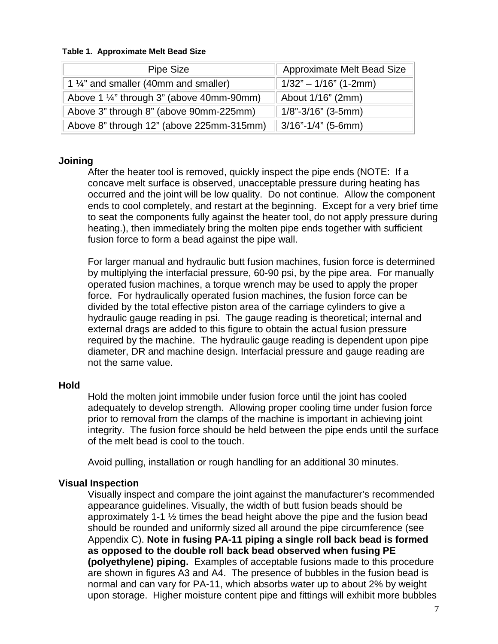#### **Table 1. Approximate Melt Bead Size**

| Pipe Size                                            | <b>Approximate Melt Bead Size</b> |
|------------------------------------------------------|-----------------------------------|
| 1 1/4" and smaller (40mm and smaller)                | $1/32" - 1/16"$ (1-2mm)           |
| Above 1 $\frac{1}{4}$ " through 3" (above 40mm-90mm) | About 1/16" (2mm)                 |
| Above 3" through 8" (above 90mm-225mm)               | $1/8$ "-3/16" (3-5mm)             |
| Above 8" through 12" (above 225mm-315mm)             | $\parallel$ 3/16"-1/4" (5-6mm)    |

#### **Joining**

After the heater tool is removed, quickly inspect the pipe ends (NOTE: If a concave melt surface is observed, unacceptable pressure during heating has occurred and the joint will be low quality. Do not continue. Allow the component ends to cool completely, and restart at the beginning. Except for a very brief time to seat the components fully against the heater tool, do not apply pressure during heating.), then immediately bring the molten pipe ends together with sufficient fusion force to form a bead against the pipe wall.

For larger manual and hydraulic butt fusion machines, fusion force is determined by multiplying the interfacial pressure, 60-90 psi, by the pipe area. For manually operated fusion machines, a torque wrench may be used to apply the proper force. For hydraulically operated fusion machines, the fusion force can be divided by the total effective piston area of the carriage cylinders to give a hydraulic gauge reading in psi. The gauge reading is theoretical; internal and external drags are added to this figure to obtain the actual fusion pressure required by the machine. The hydraulic gauge reading is dependent upon pipe diameter, DR and machine design. Interfacial pressure and gauge reading are not the same value.

#### **Hold**

Hold the molten joint immobile under fusion force until the joint has cooled adequately to develop strength. Allowing proper cooling time under fusion force prior to removal from the clamps of the machine is important in achieving joint integrity. The fusion force should be held between the pipe ends until the surface of the melt bead is cool to the touch.

Avoid pulling, installation or rough handling for an additional 30 minutes.

#### **Visual Inspection**

Visually inspect and compare the joint against the manufacturer's recommended appearance guidelines. Visually, the width of butt fusion beads should be approximately 1-1 ½ times the bead height above the pipe and the fusion bead should be rounded and uniformly sized all around the pipe circumference (see Appendix C). **Note in fusing PA-11 piping a single roll back bead is formed as opposed to the double roll back bead observed when fusing PE (polyethylene) piping.** Examples of acceptable fusions made to this procedure are shown in figures A3 and A4. The presence of bubbles in the fusion bead is normal and can vary for PA-11, which absorbs water up to about 2% by weight upon storage. Higher moisture content pipe and fittings will exhibit more bubbles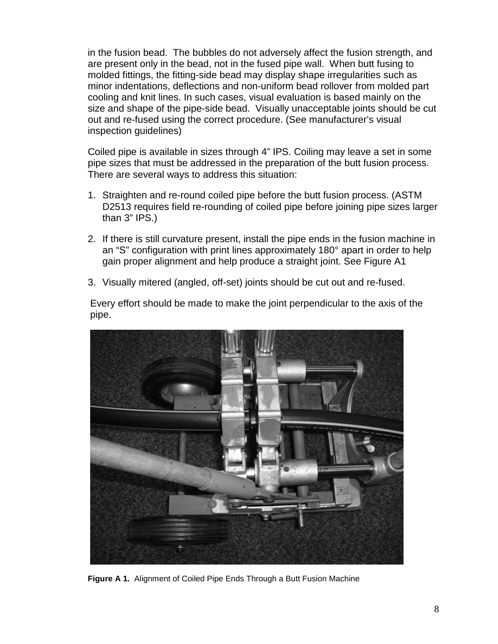in the fusion bead. The bubbles do not adversely affect the fusion strength, and are present only in the bead, not in the fused pipe wall. When butt fusing to molded fittings, the fitting-side bead may display shape irregularities such as minor indentations, deflections and non-uniform bead rollover from molded part cooling and knit lines. In such cases, visual evaluation is based mainly on the size and shape of the pipe-side bead. Visually unacceptable joints should be cut out and re-fused using the correct procedure. (See manufacturer's visual inspection guidelines)

Coiled pipe is available in sizes through 4" IPS. Coiling may leave a set in some pipe sizes that must be addressed in the preparation of the butt fusion process. There are several ways to address this situation:

- 1. Straighten and re-round coiled pipe before the butt fusion process. (ASTM D2513 requires field re-rounding of coiled pipe before joining pipe sizes larger than 3" IPS.)
- 2. If there is still curvature present, install the pipe ends in the fusion machine in an "S" configuration with print lines approximately 180° apart in order to help gain proper alignment and help produce a straight joint. See Figure A1
- 3. Visually mitered (angled, off-set) joints should be cut out and re-fused.

Every effort should be made to make the joint perpendicular to the axis of the pipe.

<span id="page-11-0"></span>

**Figure A 1.** Alignment of Coiled Pipe Ends Through a Butt Fusion Machine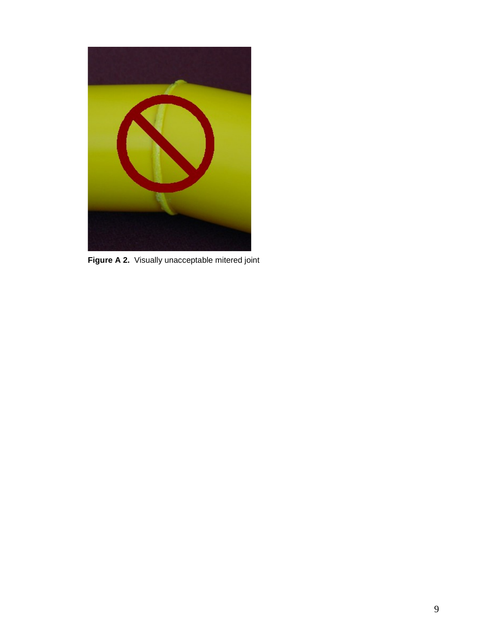<span id="page-12-0"></span>

**Figure A 2.** Visually unacceptable mitered joint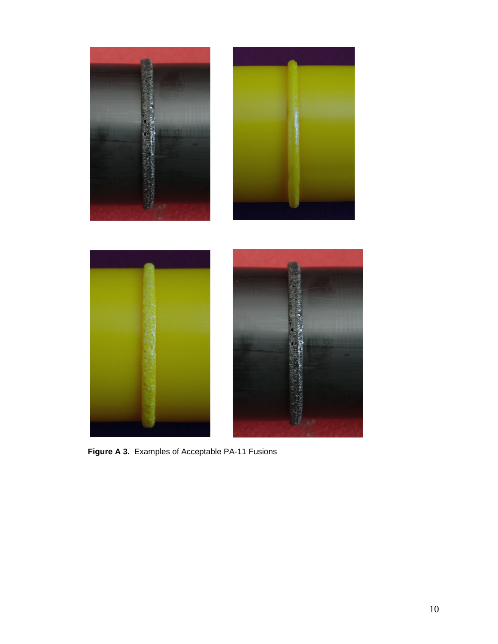<span id="page-13-0"></span>

**Figure A 3.** Examples of Acceptable PA-11 Fusions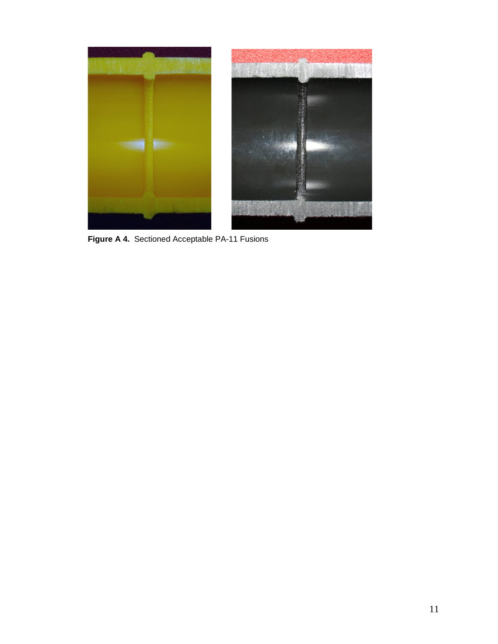<span id="page-14-0"></span>

**Figure A 4.** Sectioned Acceptable PA-11 Fusions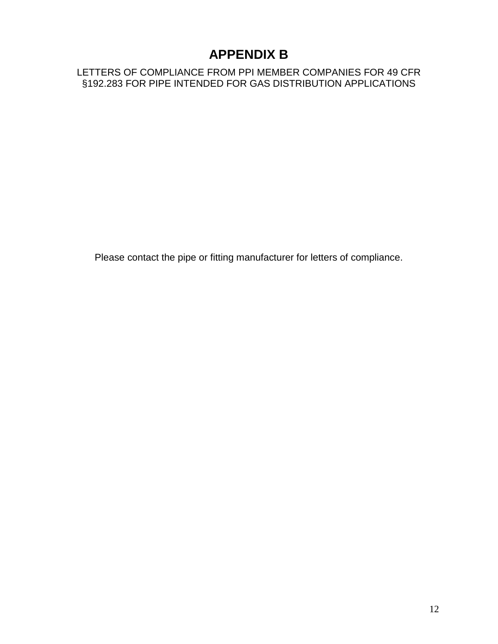### **APPENDIX B**

<span id="page-15-1"></span><span id="page-15-0"></span>LETTERS OF COMPLIANCE FROM PPI MEMBER COMPANIES FOR 49 CFR §192.283 FOR PIPE INTENDED FOR GAS DISTRIBUTION APPLICATIONS

Please contact the pipe or fitting manufacturer for letters of compliance.